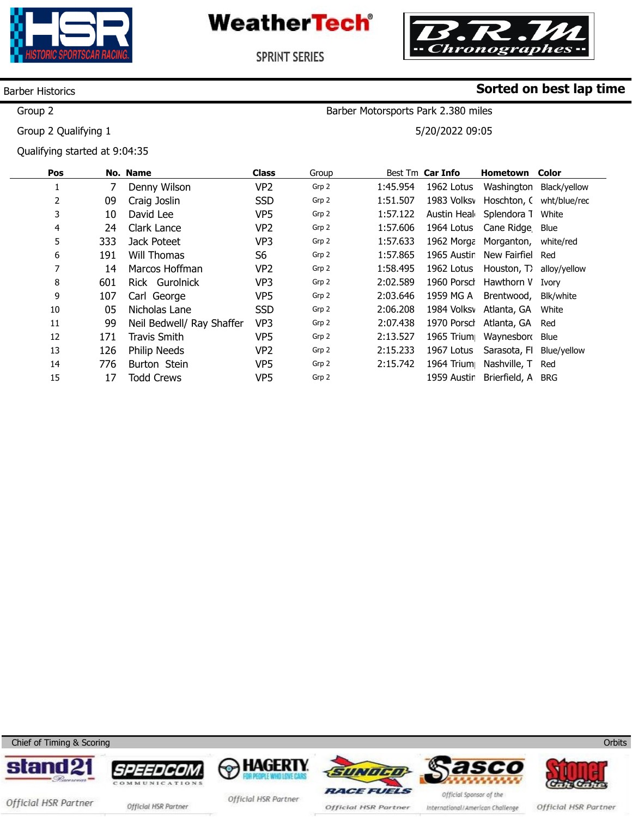



Barber Motorsports Park 2.380 miles

5/20/2022 09:05

**Sorted on best lap time**

SPRINT SERIES

### Barber Historics

Group 2

Group 2 Qualifying 1

Qualifying started at 9:04:35

| Pos |     | No. Name                  | <b>Class</b>    | Group |          | Best Tm Car Info | <b>Hometown Color</b>         |              |
|-----|-----|---------------------------|-----------------|-------|----------|------------------|-------------------------------|--------------|
| Ŧ.  |     | Denny Wilson              | VP <sub>2</sub> | Grp 2 | 1:45.954 | 1962 Lotus       | Washington                    | Black/yellow |
| 2   | 09  | Craig Joslin              | <b>SSD</b>      | Grp 2 | 1:51.507 | 1983 Volksy      | Hoschton, C wht/blue/rec      |              |
| 3   | 10  | David Lee                 | VP <sub>5</sub> | Grp 2 | 1:57.122 |                  | Austin Heal Splendora 1 White |              |
| 4   | 24  | Clark Lance               | VP <sub>2</sub> | Grp 2 | 1:57.606 |                  | 1964 Lotus Cane Ridge Blue    |              |
| 5   | 333 | Jack Poteet               | VP3             | Grp 2 | 1:57.633 |                  | 1962 Morga Morganton,         | white/red    |
| 6   | 191 | Will Thomas               | S <sub>6</sub>  | Grp 2 | 1:57.865 | 1965 Austir      | New Fairfiel                  | Red          |
| 7   | 14  | Marcos Hoffman            | VP <sub>2</sub> | Grp 2 | 1:58.495 | 1962 Lotus       | Houston, T) alloy/yellow      |              |
| 8   | 601 | Rick Gurolnick            | VP3             | Grp 2 | 2:02.589 | 1960 Porsch      | Hawthorn V                    | Ivory        |
| 9   | 107 | Carl George               | VP <sub>5</sub> | Grp 2 | 2:03.646 | 1959 MG A        | Brentwood,                    | Blk/white    |
| 10  | 05  | Nicholas Lane             | <b>SSD</b>      | Grp 2 | 2:06.208 |                  | 1984 Volksv Atlanta, GA       | White        |
| 11  | 99  | Neil Bedwell/ Ray Shaffer | VP3             | Grp 2 | 2:07.438 | 1970 Porsch      | Atlanta, GA                   | Red          |
| 12  | 171 | <b>Travis Smith</b>       | VP <sub>5</sub> | Grp 2 | 2:13.527 | 1965 Trium       | Waynesborg Blue               |              |
| 13  | 126 | <b>Philip Needs</b>       | VP <sub>2</sub> | Grp 2 | 2:15.233 | 1967 Lotus       | Sarasota, Fl                  | Blue/yellow  |
| 14  | 776 | Burton Stein              | VP <sub>5</sub> | Grp 2 | 2:15.742 | 1964 Trium       | Nashville, T                  | Red          |
| 15  | 17  | <b>Todd Crews</b>         | VP5             | Grp 2 |          | 1959 Austir      | Brierfield, A                 | <b>BRG</b>   |

Chief of Timing & Scoring















Official HSR Partner official HSR Partner

Official HSR Partner

Official HSR Partner

International/American Challenge

Official HSR Partner

**Orbits**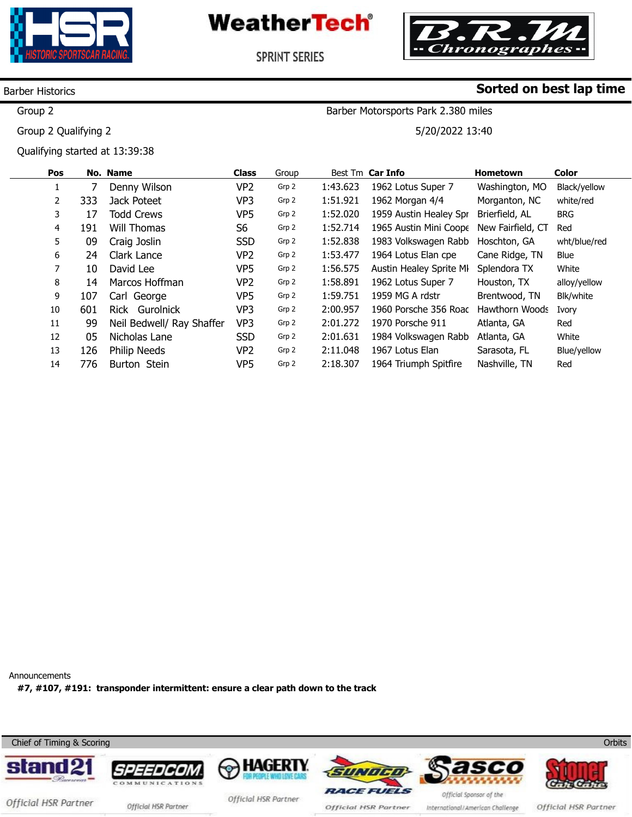



**SPRINT SERIES** 

### Barber Historics

Group 2

Group 2 Qualifying 2

Qualifying started at 13:39:38

## **Sorted on best lap time**

Barber Motorsports Park 2.380 miles

5/20/2022 13:40

| Pos |     | No. Name                  | <b>Class</b>   | Group |          | Best Tm Car Info        | <b>Hometown</b>   | Color        |
|-----|-----|---------------------------|----------------|-------|----------|-------------------------|-------------------|--------------|
|     |     | Denny Wilson              | VP2            | Grp 2 | 1:43.623 | 1962 Lotus Super 7      | Washington, MO    | Black/yellow |
| 2   | 333 | Jack Poteet               | VP3            | Grp 2 | 1:51.921 | 1962 Morgan 4/4         | Morganton, NC     | white/red    |
| 3   | 17  | <b>Todd Crews</b>         | VP5            | Grp 2 | 1:52.020 | 1959 Austin Healey Spr  | Brierfield, AL    | <b>BRG</b>   |
| 4   | 191 | Will Thomas               | S <sub>6</sub> | Grp 2 | 1:52.714 | 1965 Austin Mini Coope  | New Fairfield, CT | Red          |
| 5   | 09  | Craig Joslin              | <b>SSD</b>     | Grp 2 | 1:52.838 | 1983 Volkswagen Rabb    | Hoschton, GA      | wht/blue/red |
| 6   | 24  | Clark Lance               | VP2            | Grp 2 | 1:53.477 | 1964 Lotus Elan cpe     | Cane Ridge, TN    | Blue         |
| 7   | 10  | David Lee                 | VP5            | Grp 2 | 1:56.575 | Austin Healey Sprite MI | Splendora TX      | White        |
| 8   | 14  | Marcos Hoffman            | VP2            | Grp 2 | 1:58.891 | 1962 Lotus Super 7      | Houston, TX       | alloy/yellow |
| 9   | 107 | Carl George               | VP5            | Grp 2 | 1:59.751 | 1959 MG A rdstr         | Brentwood, TN     | Blk/white    |
| 10  | 601 | Rick Gurolnick            | VP3            | Grp 2 | 2:00.957 | 1960 Porsche 356 Roac   | Hawthorn Woods    | Ivory        |
| 11  | 99  | Neil Bedwell/ Ray Shaffer | VP3            | Grp 2 | 2:01.272 | 1970 Porsche 911        | Atlanta, GA       | Red          |
| 12  | 05  | Nicholas Lane             | <b>SSD</b>     | Grp 2 | 2:01.631 | 1984 Volkswagen Rabb    | Atlanta, GA       | White        |
| 13  | 126 | <b>Philip Needs</b>       | VP2            | Grp 2 | 2:11.048 | 1967 Lotus Elan         | Sarasota, FL      | Blue/yellow  |
| 14  | 776 | Burton Stein              | VP5            | Grp 2 | 2:18.307 | 1964 Triumph Spitfire   | Nashville, TN     | Red          |

Announcements **#7, #107, #191: transponder intermittent: ensure a clear path down to the track** 

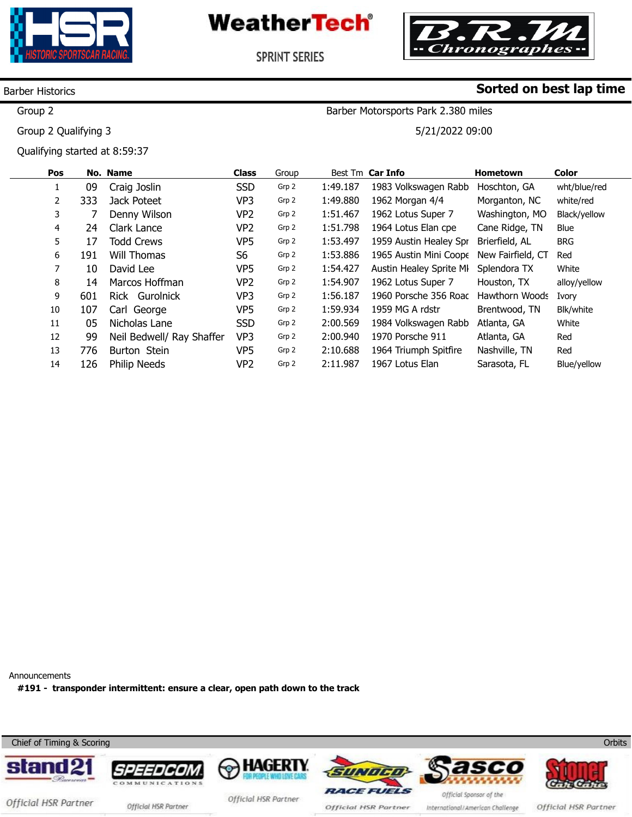



**SPRINT SERIES** 

#### Barber Historics

Group 2

Group 2 Qualifying 3

Qualifying started at 8:59:37

## **Sorted on best lap time**

Barber Motorsports Park 2.380 miles

5/21/2022 09:00

|    | Pos |     | No. Name                  | <b>Class</b>   | Group |          | Best Tm Car Info        | <b>Hometown</b>       | <b>Color</b> |
|----|-----|-----|---------------------------|----------------|-------|----------|-------------------------|-----------------------|--------------|
|    |     | 09  | Craig Joslin              | <b>SSD</b>     | Grp 2 | 1:49.187 | 1983 Volkswagen Rabb    | Hoschton, GA          | wht/blue/red |
|    | 2   | 333 | Jack Poteet               | VP3            | Grp 2 | 1:49.880 | 1962 Morgan 4/4         | Morganton, NC         | white/red    |
|    | 3   |     | Denny Wilson              | VP2            | Grp 2 | 1:51.467 | 1962 Lotus Super 7      | Washington, MO        | Black/yellow |
|    | 4   | 24  | Clark Lance               | VP2            | Grp 2 | 1:51.798 | 1964 Lotus Elan cpe     | Cane Ridge, TN        | <b>Blue</b>  |
|    | 5   | 17  | <b>Todd Crews</b>         | VP5            | Grp 2 | 1:53.497 | 1959 Austin Healey Spr  | Brierfield, AL        | <b>BRG</b>   |
|    | 6   | 191 | Will Thomas               | S <sub>6</sub> | Grp 2 | 1:53.886 | 1965 Austin Mini Coope  | New Fairfield, CT     | Red          |
|    | 7   | 10  | David Lee                 | VP5            | Grp 2 | 1:54.427 | Austin Healey Sprite MI | Splendora TX          | White        |
|    | 8   | 14  | Marcos Hoffman            | VP2            | Grp 2 | 1:54.907 | 1962 Lotus Super 7      | Houston, TX           | alloy/yellow |
|    | 9   | 601 | Rick Gurolnick            | VP3            | Grp 2 | 1:56.187 | 1960 Porsche 356 Roac   | <b>Hawthorn Woods</b> | Ivory        |
|    | 10  | 107 | Carl George               | VP5            | Grp 2 | 1:59.934 | 1959 MG A rdstr         | Brentwood, TN         | Blk/white    |
| 11 |     | 05  | Nicholas Lane             | <b>SSD</b>     | Grp 2 | 2:00.569 | 1984 Volkswagen Rabb    | Atlanta, GA           | White        |
| 12 |     | 99  | Neil Bedwell/ Ray Shaffer | VP3            | Grp 2 | 2:00.940 | 1970 Porsche 911        | Atlanta, GA           | Red          |
| 13 |     | 776 | Burton Stein              | VP5            | Grp 2 | 2:10.688 | 1964 Triumph Spitfire   | Nashville, TN         | Red          |
| 14 |     | 126 | <b>Philip Needs</b>       | VP2            | Grp 2 | 2:11.987 | 1967 Lotus Elan         | Sarasota, FL          | Blue/yellow  |

Announcements

**#191 - transponder intermittent: ensure a clear, open path down to the track** 

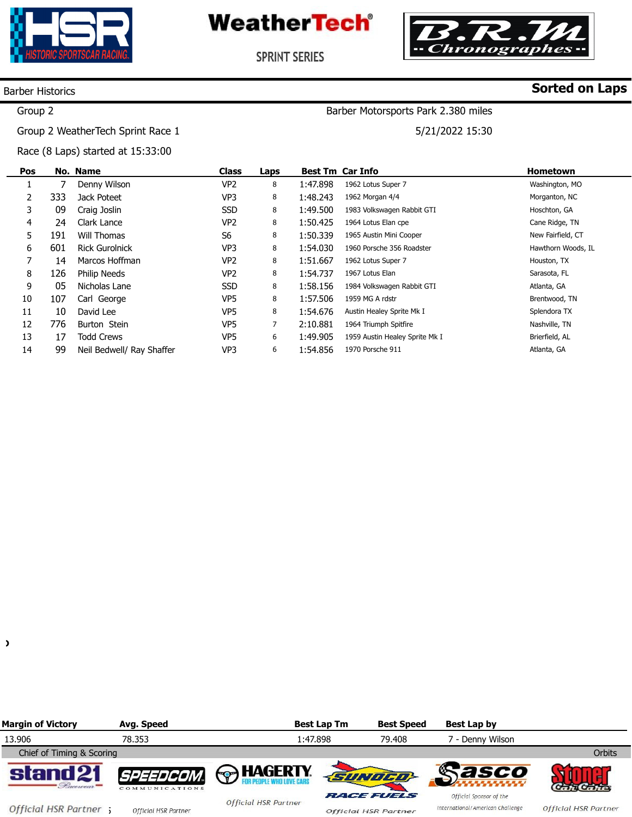



Barber Motorsports Park 2.380 miles

5/21/2022 15:30

**SPRINT SERIES** 

### Barber Historics

# **Sorted on Laps**

### Group 2

Group 2 WeatherTech Sprint Race 1

Race (8 Laps) started at 15:33:00

| Pos |     | No. Name                  | <b>Class</b>    | Laps |          | <b>Best Tm Car Info</b>        | <b>Hometown</b>    |
|-----|-----|---------------------------|-----------------|------|----------|--------------------------------|--------------------|
| ÷.  |     | Denny Wilson              | VP <sub>2</sub> | 8    | 1:47.898 | 1962 Lotus Super 7             | Washington, MO     |
| 2   | 333 | Jack Poteet               | VP3             | 8    | 1:48.243 | 1962 Morgan 4/4                | Morganton, NC      |
| 3   | 09  | Craig Joslin              | <b>SSD</b>      | 8    | 1:49.500 | 1983 Volkswagen Rabbit GTI     | Hoschton, GA       |
| 4   | 24  | Clark Lance               | VP <sub>2</sub> | 8    | 1:50.425 | 1964 Lotus Elan cpe            | Cane Ridge, TN     |
| 5   | 191 | Will Thomas               | S <sub>6</sub>  | 8    | 1:50.339 | 1965 Austin Mini Cooper        | New Fairfield, CT  |
| 6   | 601 | <b>Rick Gurolnick</b>     | VP <sub>3</sub> | 8    | 1:54.030 | 1960 Porsche 356 Roadster      | Hawthorn Woods, IL |
|     | 14  | Marcos Hoffman            | VP <sub>2</sub> | 8    | 1:51.667 | 1962 Lotus Super 7             | Houston, TX        |
| 8   | 126 | Philip Needs              | VP <sub>2</sub> | 8    | 1:54.737 | 1967 Lotus Elan                | Sarasota, FL       |
| 9   | 05  | Nicholas Lane             | <b>SSD</b>      | 8    | 1:58.156 | 1984 Volkswagen Rabbit GTI     | Atlanta, GA        |
| 10  | 107 | Carl George               | VP <sub>5</sub> | 8    | 1:57.506 | 1959 MG A rdstr                | Brentwood, TN      |
| 11  | 10  | David Lee                 | VP <sub>5</sub> | 8    | 1:54.676 | Austin Healey Sprite Mk I      | Splendora TX       |
| 12  | 776 | Burton Stein              | VP <sub>5</sub> | 7    | 2:10.881 | 1964 Triumph Spitfire          | Nashville, TN      |
| 13  | 17  | <b>Todd Crews</b>         | VP5             | 6    | 1:49.905 | 1959 Austin Healey Sprite Mk I | Brierfield, AL     |
| 14  | 99  | Neil Bedwell/ Ray Shaffer | VP3             | 6    | 1:54.856 | 1970 Porsche 911               | Atlanta, GA        |

 $\lambda$